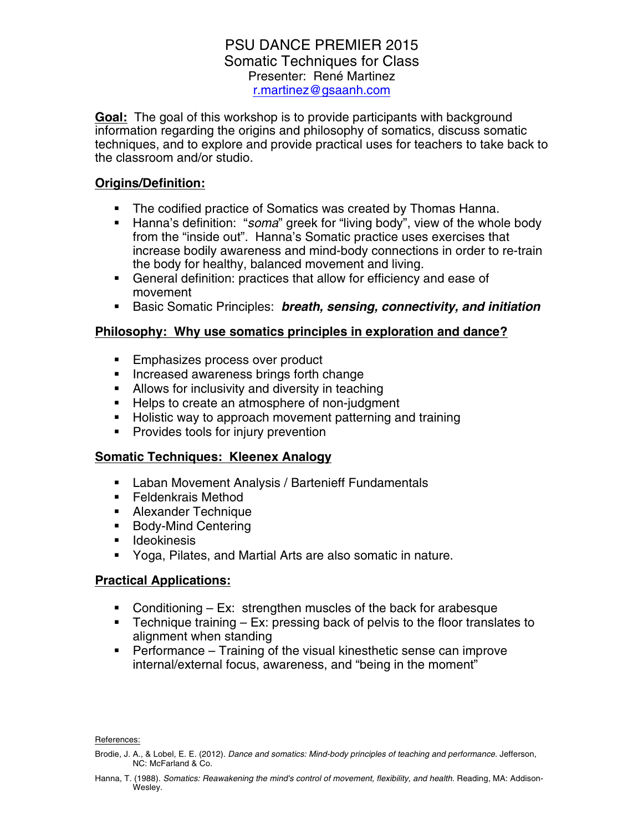# PSU DANCE PREMIER 2015 Somatic Techniques for Class Presenter: René Martinez r.martinez@gsaanh.com

**Goal:** The goal of this workshop is to provide participants with background information regarding the origins and philosophy of somatics, discuss somatic techniques, and to explore and provide practical uses for teachers to take back to the classroom and/or studio.

# **Origins/Definition:**

- The codified practice of Somatics was created by Thomas Hanna.
- § Hanna's definition: "*soma*" greek for "living body", view of the whole body from the "inside out". Hanna's Somatic practice uses exercises that increase bodily awareness and mind-body connections in order to re-train the body for healthy, balanced movement and living.
- General definition: practices that allow for efficiency and ease of movement
- § Basic Somatic Principles: *breath, sensing, connectivity, and initiation*

# **Philosophy: Why use somatics principles in exploration and dance?**

- Emphasizes process over product
- Increased awareness brings forth change
- Allows for inclusivity and diversity in teaching
- Helps to create an atmosphere of non-judgment
- Holistic way to approach movement patterning and training
- Provides tools for injury prevention

### **Somatic Techniques: Kleenex Analogy**

- Laban Movement Analysis / Bartenieff Fundamentals
- Feldenkrais Method
- Alexander Technique
- Body-Mind Centering
- Ideokinesis
- Yoga, Pilates, and Martial Arts are also somatic in nature.

# **Practical Applications:**

- Conditioning Ex: strengthen muscles of the back for arabesque
- **•** Technique training  $-$  Ex: pressing back of pelvis to the floor translates to alignment when standing
- Performance Training of the visual kinesthetic sense can improve internal/external focus, awareness, and "being in the moment"

References:

Hanna, T. (1988). Somatics: Reawakening the mind's control of movement, flexibility, and health. Reading, MA: Addison-Wesley.

Brodie, J. A., & Lobel, E. E. (2012). *Dance and somatics: Mind-body principles of teaching and performance*. Jefferson, NC: McFarland & Co.